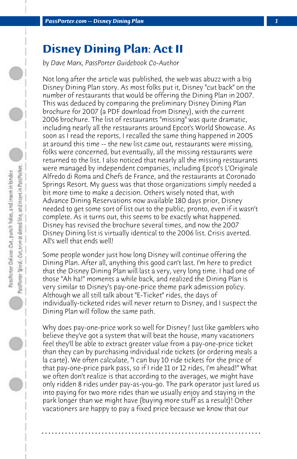## **Disney Dining Plan: Act II**

*by Dave Marx, PassPorter Guidebook Co-Author*

Not long after the article was published, the web was abuzz with a big Disney Dining Plan story. As most folks put it, Disney "cut back" on the number of restaurants that would be offering the Dining Plan in 2007. This was deduced by comparing the preliminary Disney Dining Plan brochure for 2007 (a PDF download from Disney), with the current 2006 brochure. The list of restaurants "missing" was quite dramatic, including nearly all the restaurants around Epcot's World Showcase. As soon as I read the reports, I recalled the same thing happened in 2005 at around this time -- the new list came out, restaurants were missing, folks were concerned, but eventually, all the missing restaurants were returned to the list. I also noticed that nearly all the missing restaurants were managed by independent companies, including Epcot's L'Originale Alfredo di Roma and Chefs de France, and the restaurants at Coronado Springs Resort. My guess was that those organizations simply needed a bit more time to make a decision. Others wisely noted that, with Advance Dining Reservations now available 180 days prior, Disney needed to get some sort of list out to the public, pronto, even if it wasn't complete. As it turns out, this seems to be exactly what happened. Disney has revised the brochure several times, and now the 2007 Disney Dining list is virtually identical to the 2006 list. Crisis averted. All's well that ends well!

Some people wonder just how long Disney will continue offering the Dining Plan. After all, anything this good can't last. I'm here to predict that the Disney Dining Plan will last a very, very long time. I had one of those "Ah ha!" moments a while back, and realized the Dining Plan is very similar to Disney's pay-one-price theme park admission policy. Although we all still talk about "E-Ticket" rides, the days of individually-ticketed rides will never return to Disney, and I suspect the Dining Plan will follow the same path.

Why does pay-one-price work so well for Disney? Just like gamblers who believe they've got a system that will beat the house, many vacationers feel they'll be able to extract greater value from a pay-one-price ticket than they can by purchasing individual ride tickets (or ordering meals a la carte). We often calculate, "I can buy 10 ride tickets for the price of that pay-one-price park pass, so if I ride 11 or 12 rides, I'm ahead!" What we often don't realize is that according to the averages, we might have only ridden 8 rides under pay-as-you-go. The park operator just lured us into paying for two more rides than we usually enjoy and staying in the park longer than we might have (buying more stuff as a result)! Other vacationers are happy to pay a fixed price because we know that our

**. . . . . . . . . . . . . . . . . . . . . . . . . . . . . . . . . . . . . . . . . . . . . . . . . . . . . . . . . . . . . . . . . .**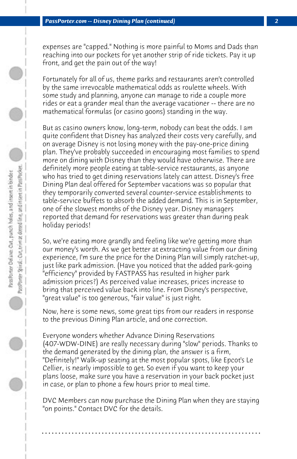expenses are "capped." Nothing is more painful to Moms and Dads than reaching into our pockets for yet another strip of ride tickets. Pay it up front, and get the pain out of the way!

Fortunately for all of us, theme parks and restaurants aren't controlled by the same irrevocable mathematical odds as roulette wheels. With some study and planning, anyone can manage to ride a couple more rides or eat a grander meal than the average vacationer -- there are no mathematical formulas (or casino goons) standing in the way.

But as casino owners know, long-term, nobody can beat the odds. I am quite confident that Disney has analyzed their costs very carefully, and on average Disney is not losing money with the pay-one-price dining plan. They've probably succeeded in encouraging most families to spend more on dining with Disney than they would have otherwise. There are definitely more people eating at table-service restaurants, as anyone who has tried to get dining reservations lately can attest. Disney's free Dining Plan deal offered for September vacations was so popular that they temporarily converted several counter-service establishments to table-service buffets to absorb the added demand. This is in September, one of the slowest months of the Disney year. Disney managers reported that demand for reservations was greater than during peak holiday periods!

So, we're eating more grandly and feeling like we're getting more than our money's worth. As we get better at extracting value from our dining experience, I'm sure the price for the Dining Plan will simply ratchet-up, just like park admission. (Have you noticed that the added park-going "efficiency" provided by FASTPASS has resulted in higher park admission prices?) As perceived value increases, prices increase to bring that perceived value back into line. From Disney's perspective, "great value" is too generous, "fair value" is just right.

Now, here is some news, some great tips from our readers in response to the previous Dining Plan article, and one correction.

Everyone wonders whether Advance Dining Reservations (407-WDW-DINE) are really necessary during "slow" periods. Thanks to the demand generated by the dining plan, the answer is a firm, "Definitely!" Walk-up seating at the most popular spots, like Epcot's Le Cellier, is nearly impossible to get. So even if you want to keep your plans loose, make sure you have a reservation in your back pocket just in case, or plan to phone a few hours prior to meal time.

DVC Members can now purchase the Dining Plan when they are staying "on points." Contact DVC for the details.

**. . . . . . . . . . . . . . . . . . . . . . . . . . . . . . . . . . . . . . . . . . . . . . . . . . . . . . . . . . . . . . . . . .**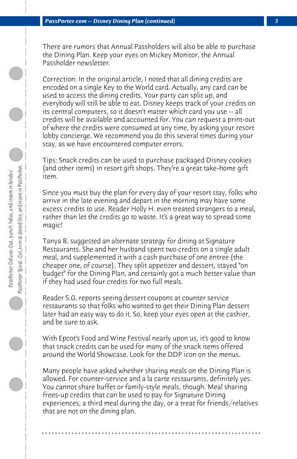There are rumors that Annual Passholders will also be able to purchase the Dining Plan. Keep your eyes on Mickey Monitor, the Annual Passholder newsletter.

Correction: In the original article, I noted that all dining credits are encoded on a single Key to the World card. Actually, any card can be used to access the dining credits. Your party can split up, and everybody will still be able to eat. Disney keeps track of your credits on its central computers, so it doesn't matter which card you use -- all credits will be available and accounted for. You can request a print-out of where the credits were consumed at any time, by asking your resort lobby concierge. We recommend you do this several times during your stay, as we have encountered computer errors.

Tips: Snack credits can be used to purchase packaged Disney cookies (and other items) in resort gift shops. They're a great take-home gift item.

Since you must buy the plan for every day of your resort stay, folks who arrive in the late evening and depart in the morning may have some excess credits to use. Reader Holly H. even treated strangers to a meal, rather than let the credits go to waste. It's a great way to spread some magic!

Tanya B. suggested an alternate strategy for dining at Signature Restaurants. She and her husband spent two credits on a single adult meal, and supplemented it with a cash purchase of one entree (the cheaper one, of course). They split appetizer and dessert, stayed "on budget" for the Dining Plan, and certainly got a much better value than if they had used four credits for two full meals.

Reader S.G. reports seeing dessert coupons at counter service restaurants so that folks who wanted to get their Dining Plan dessert later had an easy way to do it. So, keep your eyes open at the cashier, and be sure to ask.

With Epcot's Food and Wine Festival nearly upon us, it's good to know that snack credits can be used for many of the snack items offered around the World Showcase. Look for the DDP icon on the menus.

Many people have asked whether sharing meals on the Dining Plan is allowed. For counter-service and a la carte restaurants, definitely yes. You cannot share buffet or family-style meals, though. Meal sharing frees-up credits that can be used to pay for Signature Dining experiences, a third meal during the day, or a treat for friends/relatives that are not on the dining plan.

**. . . . . . . . . . . . . . . . . . . . . . . . . . . . . . . . . . . . . . . . . . . . . . . . . . . . . . . . . . . . . . . . . .**